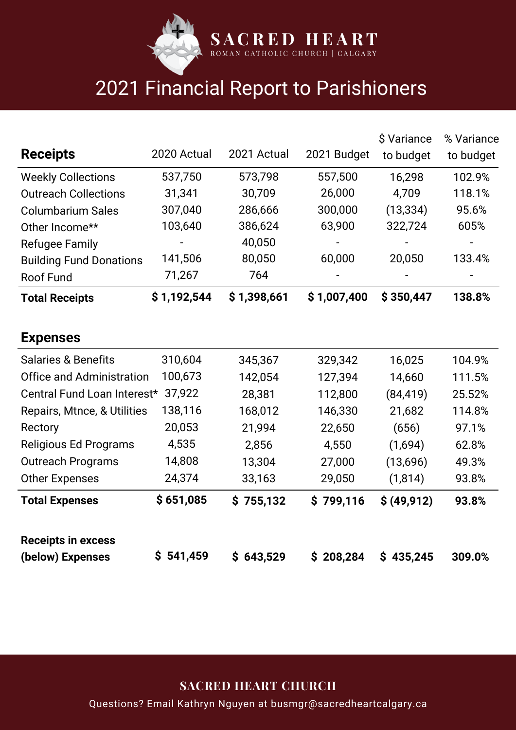

## 2021 Financial Report to Parishioners

|                                  |             |             |             | \$ Variance  | % Variance |
|----------------------------------|-------------|-------------|-------------|--------------|------------|
| <b>Receipts</b>                  | 2020 Actual | 2021 Actual | 2021 Budget | to budget    | to budget  |
| <b>Weekly Collections</b>        | 537,750     | 573,798     | 557,500     | 16,298       | 102.9%     |
| <b>Outreach Collections</b>      | 31,341      | 30,709      | 26,000      | 4,709        | 118.1%     |
| <b>Columbarium Sales</b>         | 307,040     | 286,666     | 300,000     | (13, 334)    | 95.6%      |
| Other Income**                   | 103,640     | 386,624     | 63,900      | 322,724      | 605%       |
| <b>Refugee Family</b>            |             | 40,050      |             |              |            |
| <b>Building Fund Donations</b>   | 141,506     | 80,050      | 60,000      | 20,050       | 133.4%     |
| <b>Roof Fund</b>                 | 71,267      | 764         |             |              |            |
| <b>Total Receipts</b>            | \$1,192,544 | \$1,398,661 | \$1,007,400 | \$350,447    | 138.8%     |
|                                  |             |             |             |              |            |
| <b>Expenses</b>                  |             |             |             |              |            |
| <b>Salaries &amp; Benefits</b>   | 310,604     | 345,367     | 329,342     | 16,025       | 104.9%     |
| <b>Office and Administration</b> | 100,673     | 142,054     | 127,394     | 14,660       | 111.5%     |
| Central Fund Loan Interest*      | 37,922      | 28,381      | 112,800     | (84, 419)    | 25.52%     |
| Repairs, Mtnce, & Utilities      | 138,116     | 168,012     | 146,330     | 21,682       | 114.8%     |
| Rectory                          | 20,053      | 21,994      | 22,650      | (656)        | 97.1%      |
| <b>Religious Ed Programs</b>     | 4,535       | 2,856       | 4,550       | (1,694)      | 62.8%      |
| <b>Outreach Programs</b>         | 14,808      | 13,304      | 27,000      | (13,696)     | 49.3%      |
| <b>Other Expenses</b>            | 24,374      | 33,163      | 29,050      | (1, 814)     | 93.8%      |
| <b>Total Expenses</b>            | \$651,085   | \$755,132   | \$799,116   | \$ (49, 912) | 93.8%      |
| <b>Receipts in excess</b>        |             |             |             |              |            |
| (below) Expenses                 | \$541,459   | \$643,529   | \$208,284   | \$435,245    | 309.0%     |

**SACRED HEART CHURCH**

Questions? Email Kathryn Nguyen at busmgr@sacredheartcalgary.ca